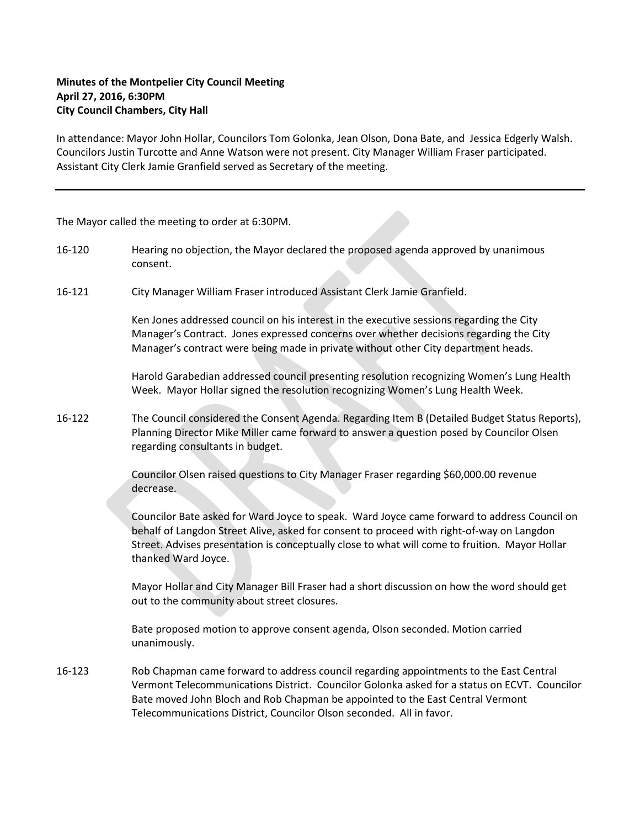## **Minutes of the Montpelier City Council Meeting April 27, 2016, 6:30PM City Council Chambers, City Hall**

In attendance: Mayor John Hollar, Councilors Tom Golonka, Jean Olson, Dona Bate, and Jessica Edgerly Walsh. Councilors Justin Turcotte and Anne Watson were not present. City Manager William Fraser participated. Assistant City Clerk Jamie Granfield served as Secretary of the meeting.

The Mayor called the meeting to order at 6:30PM.

- 16-120 Hearing no objection, the Mayor declared the proposed agenda approved by unanimous consent.
- 16-121 City Manager William Fraser introduced Assistant Clerk Jamie Granfield.

Ken Jones addressed council on his interest in the executive sessions regarding the City Manager's Contract. Jones expressed concerns over whether decisions regarding the City Manager's contract were being made in private without other City department heads.

Harold Garabedian addressed council presenting resolution recognizing Women's Lung Health Week. Mayor Hollar signed the resolution recognizing Women's Lung Health Week.

16-122 The Council considered the Consent Agenda. Regarding Item B (Detailed Budget Status Reports), Planning Director Mike Miller came forward to answer a question posed by Councilor Olsen regarding consultants in budget.

> Councilor Olsen raised questions to City Manager Fraser regarding \$60,000.00 revenue decrease.

Councilor Bate asked for Ward Joyce to speak. Ward Joyce came forward to address Council on behalf of Langdon Street Alive, asked for consent to proceed with right-of-way on Langdon Street. Advises presentation is conceptually close to what will come to fruition. Mayor Hollar thanked Ward Joyce.

Mayor Hollar and City Manager Bill Fraser had a short discussion on how the word should get out to the community about street closures.

Bate proposed motion to approve consent agenda, Olson seconded. Motion carried unanimously.

16-123 Rob Chapman came forward to address council regarding appointments to the East Central Vermont Telecommunications District. Councilor Golonka asked for a status on ECVT. Councilor Bate moved John Bloch and Rob Chapman be appointed to the East Central Vermont Telecommunications District, Councilor Olson seconded. All in favor.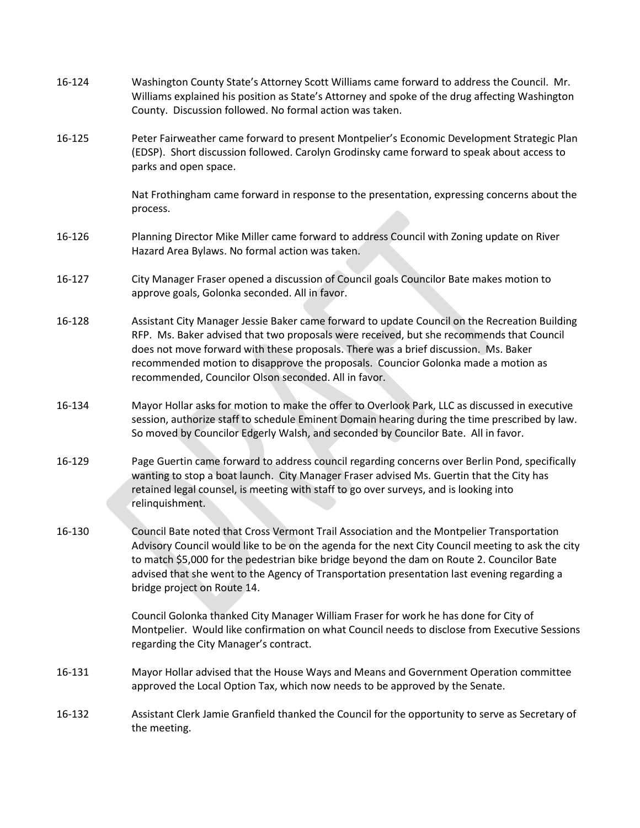| 16-124 | Washington County State's Attorney Scott Williams came forward to address the Council. Mr.<br>Williams explained his position as State's Attorney and spoke of the drug affecting Washington<br>County. Discussion followed. No formal action was taken.                                                                                                                                                                      |
|--------|-------------------------------------------------------------------------------------------------------------------------------------------------------------------------------------------------------------------------------------------------------------------------------------------------------------------------------------------------------------------------------------------------------------------------------|
| 16-125 | Peter Fairweather came forward to present Montpelier's Economic Development Strategic Plan<br>(EDSP). Short discussion followed. Carolyn Grodinsky came forward to speak about access to<br>parks and open space.                                                                                                                                                                                                             |
|        | Nat Frothingham came forward in response to the presentation, expressing concerns about the<br>process.                                                                                                                                                                                                                                                                                                                       |
| 16-126 | Planning Director Mike Miller came forward to address Council with Zoning update on River<br>Hazard Area Bylaws. No formal action was taken.                                                                                                                                                                                                                                                                                  |
| 16-127 | City Manager Fraser opened a discussion of Council goals Councilor Bate makes motion to<br>approve goals, Golonka seconded. All in favor.                                                                                                                                                                                                                                                                                     |
| 16-128 | Assistant City Manager Jessie Baker came forward to update Council on the Recreation Building<br>RFP. Ms. Baker advised that two proposals were received, but she recommends that Council<br>does not move forward with these proposals. There was a brief discussion. Ms. Baker<br>recommended motion to disapprove the proposals. Councior Golonka made a motion as<br>recommended, Councilor Olson seconded. All in favor. |
| 16-134 | Mayor Hollar asks for motion to make the offer to Overlook Park, LLC as discussed in executive<br>session, authorize staff to schedule Eminent Domain hearing during the time prescribed by law.<br>So moved by Councilor Edgerly Walsh, and seconded by Councilor Bate. All in favor.                                                                                                                                        |
| 16-129 | Page Guertin came forward to address council regarding concerns over Berlin Pond, specifically<br>wanting to stop a boat launch. City Manager Fraser advised Ms. Guertin that the City has<br>retained legal counsel, is meeting with staff to go over surveys, and is looking into<br>relinquishment.                                                                                                                        |
| 16-130 | Council Bate noted that Cross Vermont Trail Association and the Montpelier Transportation<br>Advisory Council would like to be on the agenda for the next City Council meeting to ask the city<br>to match \$5,000 for the pedestrian bike bridge beyond the dam on Route 2. Councilor Bate<br>advised that she went to the Agency of Transportation presentation last evening regarding a<br>bridge project on Route 14.     |
|        | Council Golonka thanked City Manager William Fraser for work he has done for City of<br>Montpelier. Would like confirmation on what Council needs to disclose from Executive Sessions<br>regarding the City Manager's contract.                                                                                                                                                                                               |
| 16-131 | Mayor Hollar advised that the House Ways and Means and Government Operation committee<br>approved the Local Option Tax, which now needs to be approved by the Senate.                                                                                                                                                                                                                                                         |
| 16-132 | Assistant Clerk Jamie Granfield thanked the Council for the opportunity to serve as Secretary of<br>the meeting.                                                                                                                                                                                                                                                                                                              |